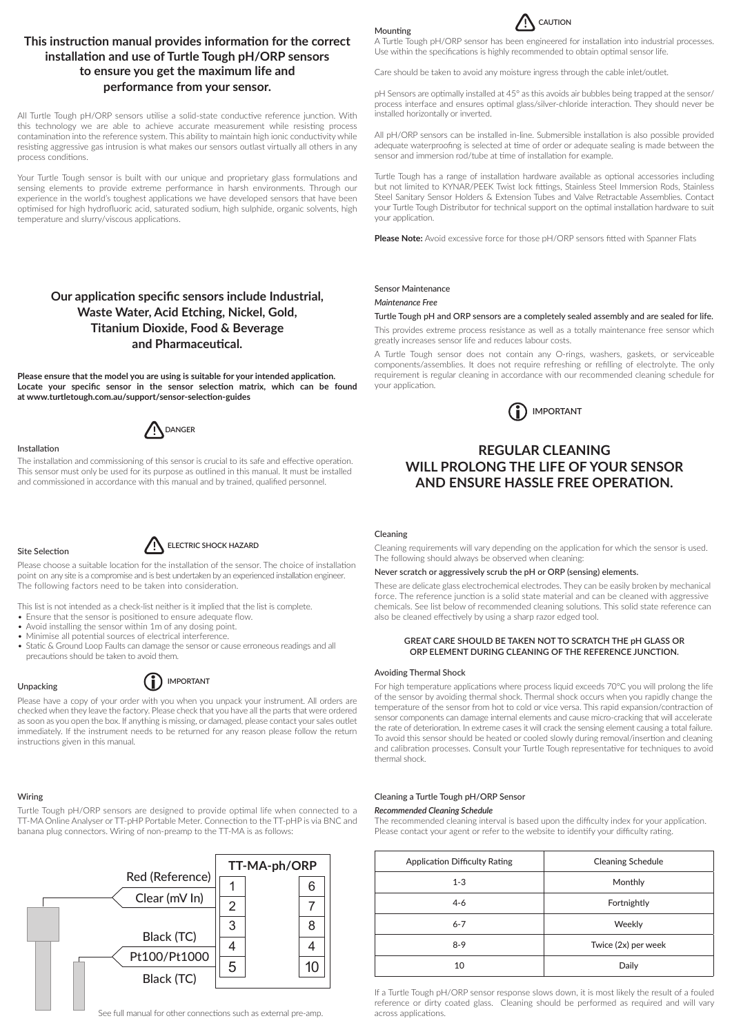# **This instruction manual provides information for the correct installation and use of Turtle Tough pH/ORP sensors to ensure you get the maximum life and performance from your sensor.**

All Turtle Tough pH/ORP sensors utilise a solid-state conductive reference junction. With this technology we are able to achieve accurate measurement while resisting process contamination into the reference system. This ability to maintain high ionic conductivity while resisting aggressive gas intrusion is what makes our sensors outlast virtually all others in any process conditions.

Your Turtle Tough sensor is built with our unique and proprietary glass formulations and sensing elements to provide extreme performance in harsh environments. Through our experience in the world's toughest applications we have developed sensors that have been optimised for high hydrofluoric acid, saturated sodium, high sulphide, organic solvents, high temperature and slurry/viscous applications.

# **Our application specific sensors include Industrial, Waste Water, Acid Etching, Nickel, Gold, Titanium Dioxide, Food & Beverage and Pharmaceutical.**

**Please ensure that the model you are using is suitable for your intended application. Locate your specific sensor in the sensor selection matrix, which can be found at www.turtletough.com.au/support/sensor-selection-guides**



# Installation

The installation and commissioning of this sensor is crucial to its safe and effective operation. This sensor must only be used for its purpose as outlined in this manual. It must be installed and commissioned in accordance with this manual and by trained, qualified personnel.

### Site Selection

# **ELECTRIC SHOCK HAZARD**

Please choose a suitable location for the installation of the sensor. The choice of installation point on any site is a compromise and is best undertaken by an experienced installation engineer. The following factors need to be taken into consideration.

This list is not intended as a check-list neither is it implied that the list is complete.

- Ensure that the sensor is positioned to ensure adequate flow.
- Avoid installing the sensor within 1m of any dosing point.
- Minimise all potential sources of electrical interference.
- Static & Ground Loop Faults can damage the sensor or cause erroneous readings and all precautions should be taken to avoid them.

# Unpacking

### **IMPORTANT**  $(i)$

Please have a copy of your order with you when you unpack your instrument. All orders are checked when they leave the factory. Please check that you have all the parts that were ordered as soon as you open the box. If anything is missing, or damaged, please contact your sales outlet immediately. If the instrument needs to be returned for any reason please follow the return instructions given in this manual.

## Wiring

Turtle Tough pH/ORP sensors are designed to provide optimal life when connected to a TT-MA Online Analyser or TT-pHP Portable Meter. Connection to the TT-pHP is via BNC and banana plug connectors. Wiring of non-preamp to the TT-MA is as follows:



# Mounting



A Turtle Tough pH/ORP sensor has been engineered for installation into industrial processes. Use within the specifications is highly recommended to obtain optimal sensor life.

Care should be taken to avoid any moisture ingress through the cable inlet/outlet.

pH Sensors are optimally installed at 45° as this avoids air bubbles being trapped at the sensor/ process interface and ensures optimal glass/silver-chloride interaction. They should never be installed horizontally or inverted.

All pH/ORP sensors can be installed in-line. Submersible installation is also possible provided adequate waterproofing is selected at time of order or adequate sealing is made between the sensor and immersion rod/tube at time of installation for example.

Turtle Tough has a range of installation hardware available as optional accessories including but not limited to KYNAR/PEEK Twist lock fittings, Stainless Steel Immersion Rods, Stainless Steel Sanitary Sensor Holders & Extension Tubes and Valve Retractable Assemblies. Contact your Turtle Tough Distributor for technical support on the optimal installation hardware to suit your application.

**Please Note:** Avoid excessive force for those pH/ORP sensors fitted with Spanner Flats

# Sensor Maintenance

### *Maintenance Free*

## Turtle Tough pH and ORP sensors are a completely sealed assembly and are sealed for life.

This provides extreme process resistance as well as a totally maintenance free sensor which greatly increases sensor life and reduces labour costs.

A Turtle Tough sensor does not contain any O-rings, washers, gaskets, or serviceable components/assemblies. It does not require refreshing or refilling of electrolyte. The only requirement is regular cleaning in accordance with our recommended cleaning schedule for your application.



# **REGULAR CLEANING WILL PROLONG THE LIFE OF YOUR SENSOR AND ENSURE HASSLE FREE OPERATION.**

### Cleaning

Cleaning requirements will vary depending on the application for which the sensor is used. The following should always be observed when cleaning:

## Never scratch or aggressively scrub the pH or ORP (sensing) elements.

These are delicate glass electrochemical electrodes. They can be easily broken by mechanical force. The reference junction is a solid state material and can be cleaned with aggressive chemicals. See list below of recommended cleaning solutions. This solid state reference can also be cleaned effectively by using a sharp razor edged tool.

## **GREAT CARE SHOULD BE TAKEN NOT TO SCRATCH THE pH GLASS OR ORP ELEMENT DURING CLEANING OF THE REFERENCE JUNCTION.**

### Avoiding Thermal Shock

For high temperature applications where process liquid exceeds 70°C you will prolong the life of the sensor by avoiding thermal shock. Thermal shock occurs when you rapidly change the temperature of the sensor from hot to cold or vice versa. This rapid expansion/contraction of sensor components can damage internal elements and cause micro-cracking that will accelerate the rate of deterioration. In extreme cases it will crack the sensing element causing a total failure. To avoid this sensor should be heated or cooled slowly during removal/insertion and cleaning and calibration processes. Consult your Turtle Tough representative for techniques to avoid thermal shock.

# Cleaning a Turtle Tough pH/ORP Sensor

*Recommended Cleaning Schedule*

The recommended cleaning interval is based upon the difficulty index for your application. Please contact your agent or refer to the website to identify your difficulty rating.

| <b>Application Difficulty Rating</b> | <b>Cleaning Schedule</b> |
|--------------------------------------|--------------------------|
| $1 - 3$                              | Monthly                  |
| $4 - 6$                              | Fortnightly              |
| $6 - 7$                              | Weekly                   |
| $8-9$                                | Twice (2x) per week      |
| 10                                   | Daily                    |

If a Turtle Tough pH/ORP sensor response slows down, it is most likely the result of a fouled reference or dirty coated glass. Cleaning should be performed as required and will vary across applications.